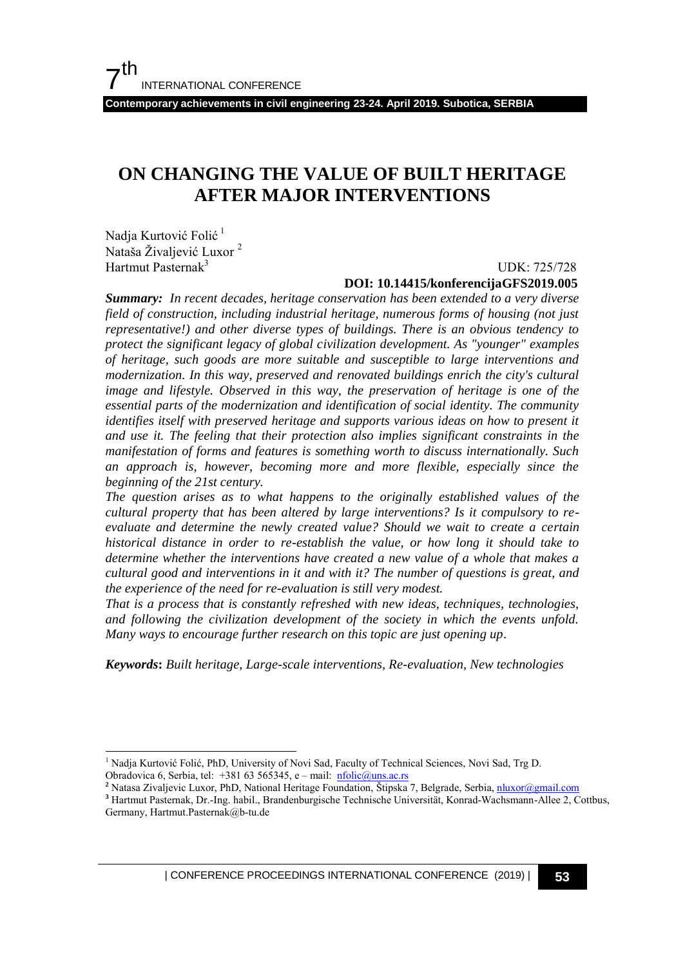**Contemporary achievements in civil engineering 23-24. April 2019. Subotica, SERBIA** 

# **ON CHANGING THE VALUE OF BUILT HERITAGE AFTER MAJOR INTERVENTIONS**

Nadja Kurtović Folić <sup>1</sup> Nataša Živaljević Luxor<sup>2</sup> Hartmut Pasternak<sup>3</sup>

j

UDK: 725/728

#### **DOI: 10.14415/konferencijaGFS2019.005**

*Summary: In recent decades, heritage conservation has been extended to a very diverse field of construction, including industrial heritage, numerous forms of housing (not just representative!) and other diverse types of buildings. There is an obvious tendency to protect the significant legacy of global civilization development. As "younger" examples of heritage, such goods are more suitable and susceptible to large interventions and modernization. In this way, preserved and renovated buildings enrich the city's cultural image and lifestyle. Observed in this way, the preservation of heritage is one of the essential parts of the modernization and identification of social identity. The community identifies itself with preserved heritage and supports various ideas on how to present it and use it. The feeling that their protection also implies significant constraints in the manifestation of forms and features is something worth to discuss internationally. Such an approach is, however, becoming more and more flexible, especially since the beginning of the 21st century.* 

*The question arises as to what happens to the originally established values of the cultural property that has been altered by large interventions? Is it compulsory to reevaluate and determine the newly created value? Should we wait to create a certain historical distance in order to re-establish the value, or how long it should take to determine whether the interventions have created a new value of a whole that makes a cultural good and interventions in it and with it? The number of questions is great, and the experience of the need for re-evaluation is still very modest.* 

*That is a process that is constantly refreshed with new ideas, techniques, technologies, and following the civilization development of the society in which the events unfold. Many ways to encourage further research on this topic are just opening up.* 

*Keywords***:** *Built heritage, Large-scale interventions, Re-evaluation, New technologies* 

| CONFERENCE PROCEEDINGS INTERNATIONAL CONFERENCE (2019) <sup>|</sup>**53**

<sup>&</sup>lt;sup>1</sup> Nadja Kurtović Folić, PhD, University of Novi Sad, Faculty of Technical Sciences, Novi Sad, Trg D. Obradovica 6, Serbia, tel: +381 63 565345, e – mail:  $nfolic@uns.ac.rs$ 

**<sup>2</sup>** Natasa Zivaljevic Luxor, PhD, National Heritage Foundation, Štipska 7, Belgrade, Serbia[, nluxor@gmail.com](mailto:nluxor@gmail.com)

**<sup>3</sup>** Hartmut Pasternak, Dr.-Ing. habil., Brandenburgische Technische Universität, Konrad-Wachsmann-Allee 2, Cottbus, Germany, Hartmut.Pasternak@b-tu.de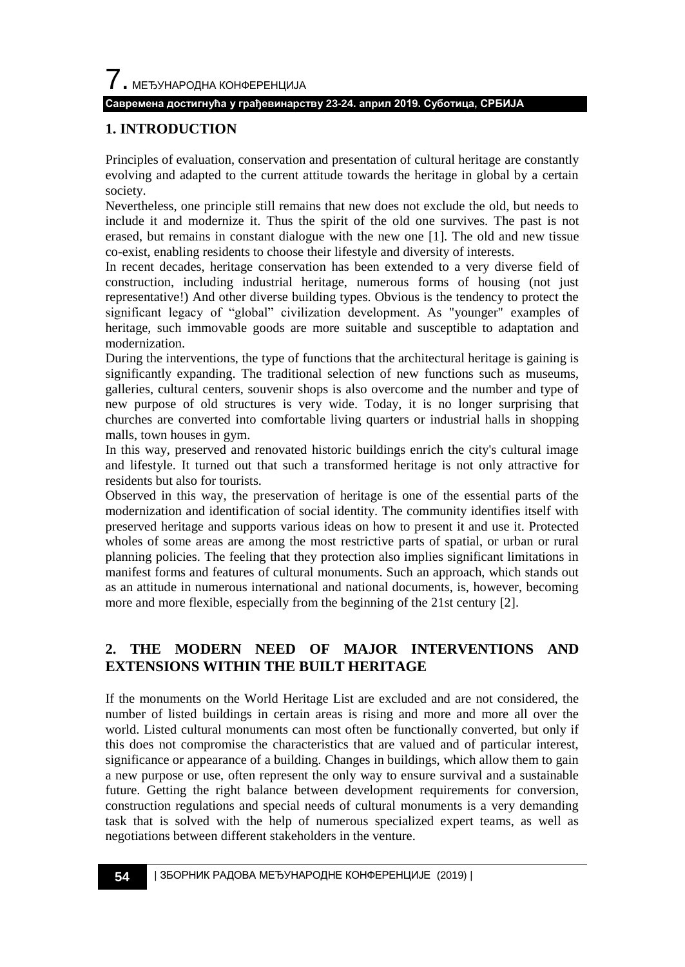7. МЕЂУНАРОДНА КОНФЕРЕНЦИЈА

#### **Савремена достигнућа у грађевинарству 23-24. април 2019. Суботица, СРБИЈА**

### **1. INTRODUCTION**

Principles of evaluation, conservation and presentation of cultural heritage are constantly evolving and adapted to the current attitude towards the heritage in global by a certain society.

Nevertheless, one principle still remains that new does not exclude the old, but needs to include it and modernize it. Thus the spirit of the old one survives. The past is not erased, but remains in constant dialogue with the new one [1]. The old and new tissue co-exist, enabling residents to choose their lifestyle and diversity of interests.

In recent decades, heritage conservation has been extended to a very diverse field of construction, including industrial heritage, numerous forms of housing (not just representative!) And other diverse building types. Obvious is the tendency to protect the significant legacy of "global" civilization development. As "younger" examples of heritage, such immovable goods are more suitable and susceptible to adaptation and modernization.

During the interventions, the type of functions that the architectural heritage is gaining is significantly expanding. The traditional selection of new functions such as museums, galleries, cultural centers, souvenir shops is also overcome and the number and type of new purpose of old structures is very wide. Today, it is no longer surprising that churches are converted into comfortable living quarters or industrial halls in shopping malls, town houses in gym.

In this way, preserved and renovated historic buildings enrich the city's cultural image and lifestyle. It turned out that such a transformed heritage is not only attractive for residents but also for tourists.

Observed in this way, the preservation of heritage is one of the essential parts of the modernization and identification of social identity. The community identifies itself with preserved heritage and supports various ideas on how to present it and use it. Protected wholes of some areas are among the most restrictive parts of spatial, or urban or rural planning policies. The feeling that they protection also implies significant limitations in manifest forms and features of cultural monuments. Such an approach, which stands out as an attitude in numerous international and national documents, is, however, becoming more and more flexible, especially from the beginning of the 21st century [2].

## **2. THE MODERN NEED OF MAJOR INTERVENTIONS AND EXTENSIONS WITHIN THE BUILT HERITAGE**

If the monuments on the World Heritage List are excluded and are not considered, the number of listed buildings in certain areas is rising and more and more all over the world. Listed cultural monuments can most often be functionally converted, but only if this does not compromise the characteristics that are valued and of particular interest, significance or appearance of a building. Changes in buildings, which allow them to gain a new purpose or use, often represent the only way to ensure survival and a sustainable future. Getting the right balance between development requirements for conversion, construction regulations and special needs of cultural monuments is a very demanding task that is solved with the help of numerous specialized expert teams, as well as negotiations between different stakeholders in the venture.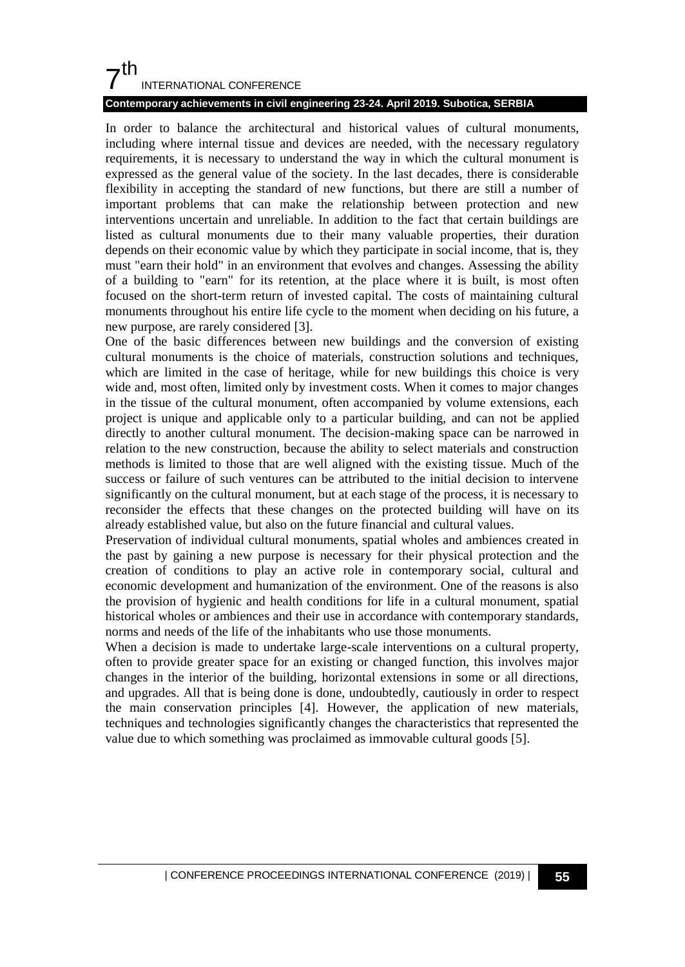# $7<sup>th</sup>$ INTERNATIONAL CONFERENCE

### **Contemporary achievements in civil engineering 23-24. April 2019. Subotica, SERBIA**

In order to balance the architectural and historical values of cultural monuments, including where internal tissue and devices are needed, with the necessary regulatory requirements, it is necessary to understand the way in which the cultural monument is expressed as the general value of the society. In the last decades, there is considerable flexibility in accepting the standard of new functions, but there are still a number of important problems that can make the relationship between protection and new interventions uncertain and unreliable. In addition to the fact that certain buildings are listed as cultural monuments due to their many valuable properties, their duration depends on their economic value by which they participate in social income, that is, they must "earn their hold" in an environment that evolves and changes. Assessing the ability of a building to "earn" for its retention, at the place where it is built, is most often focused on the short-term return of invested capital. The costs of maintaining cultural monuments throughout his entire life cycle to the moment when deciding on his future, a new purpose, are rarely considered [3].

One of the basic differences between new buildings and the conversion of existing cultural monuments is the choice of materials, construction solutions and techniques, which are limited in the case of heritage, while for new buildings this choice is very wide and, most often, limited only by investment costs. When it comes to major changes in the tissue of the cultural monument, often accompanied by volume extensions, each project is unique and applicable only to a particular building, and can not be applied directly to another cultural monument. The decision-making space can be narrowed in relation to the new construction, because the ability to select materials and construction methods is limited to those that are well aligned with the existing tissue. Much of the success or failure of such ventures can be attributed to the initial decision to intervene significantly on the cultural monument, but at each stage of the process, it is necessary to reconsider the effects that these changes on the protected building will have on its already established value, but also on the future financial and cultural values.

Preservation of individual cultural monuments, spatial wholes and ambiences created in the past by gaining a new purpose is necessary for their physical protection and the creation of conditions to play an active role in contemporary social, cultural and economic development and humanization of the environment. One of the reasons is also the provision of hygienic and health conditions for life in a cultural monument, spatial historical wholes or ambiences and their use in accordance with contemporary standards, norms and needs of the life of the inhabitants who use those monuments.

When a decision is made to undertake large-scale interventions on a cultural property, often to provide greater space for an existing or changed function, this involves major changes in the interior of the building, horizontal extensions in some or all directions, and upgrades. All that is being done is done, undoubtedly, cautiously in order to respect the main conservation principles [4]. However, the application of new materials, techniques and technologies significantly changes the characteristics that represented the value due to which something was proclaimed as immovable cultural goods [5].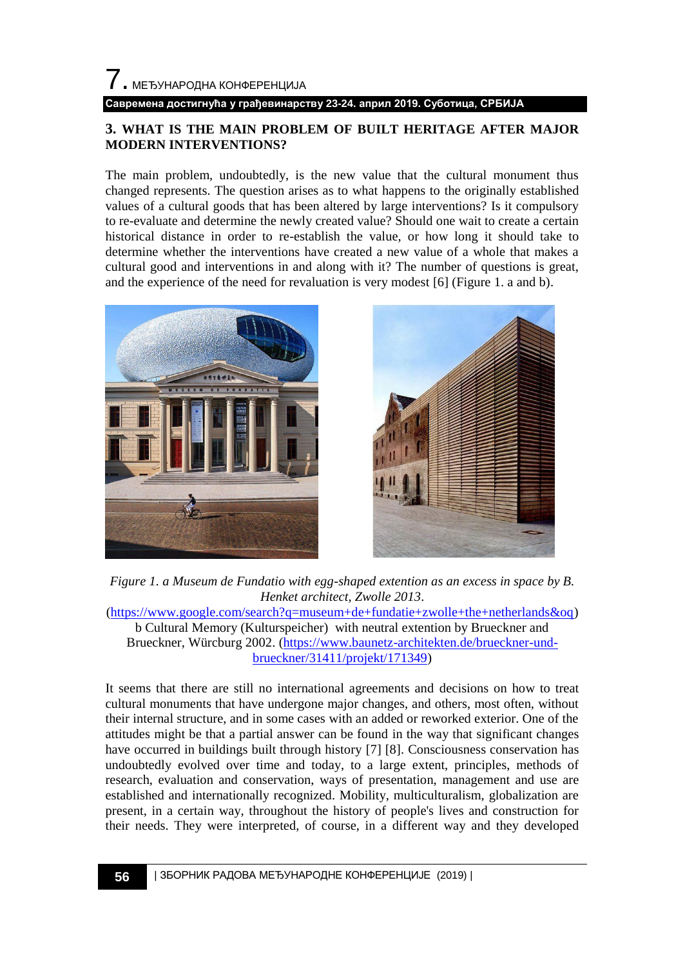### **3. WHAT IS THE MAIN PROBLEM OF BUILT HERITAGE AFTER MAJOR MODERN INTERVENTIONS?**

The main problem, undoubtedly, is the new value that the cultural monument thus changed represents. The question arises as to what happens to the originally established values of a cultural goods that has been altered by large interventions? Is it compulsory to re-evaluate and determine the newly created value? Should one wait to create a certain historical distance in order to re-establish the value, or how long it should take to determine whether the interventions have created a new value of a whole that makes a cultural good and interventions in and along with it? The number of questions is great, and the experience of the need for revaluation is very modest [6] (Figure 1. a and b).





*Figure 1. a Museum de Fundatio with egg-shaped extention as an excess in space by B. Henket architect, Zwolle 2013*. [\(https://www.google.com/search?q=museum+de+fundatie+zwolle+the+netherlands&oq\)](https://www.google.com/search?q=museum+de+fundatie+zwolle+the+netherlands&oq)

b Cultural Memory (Kulturspeicher) with neutral extention by Brueckner and Brueckner, Würcburg 2002. [\(https://www.baunetz-architekten.de/brueckner-und](https://www.baunetz-architekten.de/brueckner-und-brueckner/31411/projekt/171349)[brueckner/31411/projekt/171349\)](https://www.baunetz-architekten.de/brueckner-und-brueckner/31411/projekt/171349)

It seems that there are still no international agreements and decisions on how to treat cultural monuments that have undergone major changes, and others, most often, without their internal structure, and in some cases with an added or reworked exterior. One of the attitudes might be that a partial answer can be found in the way that significant changes have occurred in buildings built through history [7] [8]. Consciousness conservation has undoubtedly evolved over time and today, to a large extent, principles, methods of research, evaluation and conservation, ways of presentation, management and use are established and internationally recognized. Mobility, multiculturalism, globalization are present, in a certain way, throughout the history of people's lives and construction for their needs. They were interpreted, of course, in a different way and they developed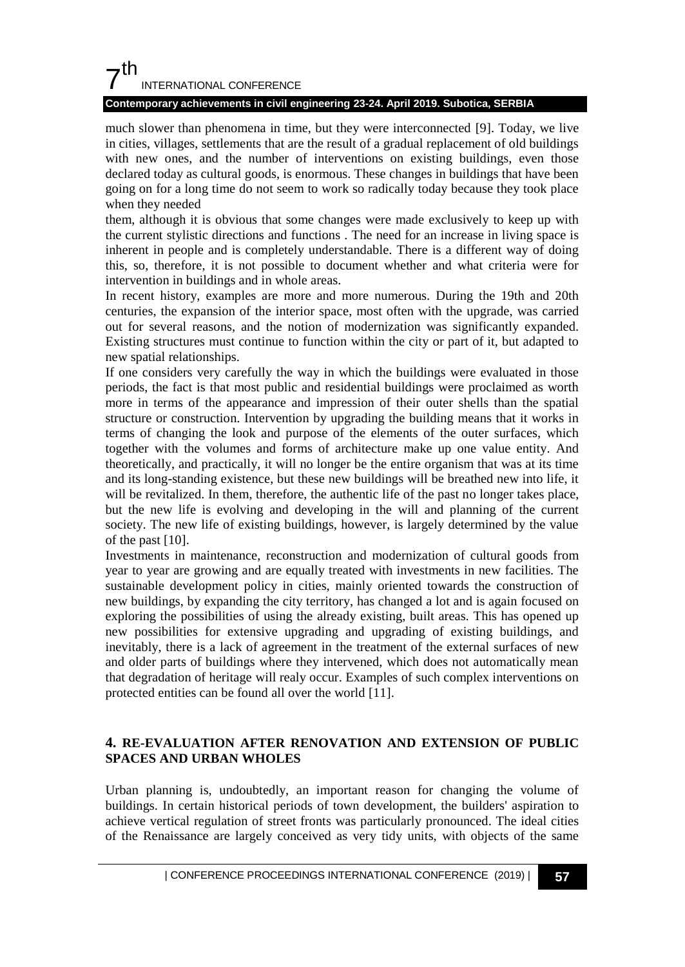# $7<sup>th</sup>$ INTERNATIONAL CONFERENCE

### **Contemporary achievements in civil engineering 23-24. April 2019. Subotica, SERBIA**

much slower than phenomena in time, but they were interconnected [9]. Today, we live in cities, villages, settlements that are the result of a gradual replacement of old buildings with new ones, and the number of interventions on existing buildings, even those declared today as cultural goods, is enormous. These changes in buildings that have been going on for a long time do not seem to work so radically today because they took place when they needed

them, although it is obvious that some changes were made exclusively to keep up with the current stylistic directions and functions . The need for an increase in living space is inherent in people and is completely understandable. There is a different way of doing this, so, therefore, it is not possible to document whether and what criteria were for intervention in buildings and in whole areas.

In recent history, examples are more and more numerous. During the 19th and 20th centuries, the expansion of the interior space, most often with the upgrade, was carried out for several reasons, and the notion of modernization was significantly expanded. Existing structures must continue to function within the city or part of it, but adapted to new spatial relationships.

If one considers very carefully the way in which the buildings were evaluated in those periods, the fact is that most public and residential buildings were proclaimed as worth more in terms of the appearance and impression of their outer shells than the spatial structure or construction. Intervention by upgrading the building means that it works in terms of changing the look and purpose of the elements of the outer surfaces, which together with the volumes and forms of architecture make up one value entity. And theoretically, and practically, it will no longer be the entire organism that was at its time and its long-standing existence, but these new buildings will be breathed new into life, it will be revitalized. In them, therefore, the authentic life of the past no longer takes place, but the new life is evolving and developing in the will and planning of the current society. The new life of existing buildings, however, is largely determined by the value of the past [10].

Investments in maintenance, reconstruction and modernization of cultural goods from year to year are growing and are equally treated with investments in new facilities. The sustainable development policy in cities, mainly oriented towards the construction of new buildings, by expanding the city territory, has changed a lot and is again focused on exploring the possibilities of using the already existing, built areas. This has opened up new possibilities for extensive upgrading and upgrading of existing buildings, and inevitably, there is a lack of agreement in the treatment of the external surfaces of new and older parts of buildings where they intervened, which does not automatically mean that degradation of heritage will realy occur. Examples of such complex interventions on protected entities can be found all over the world [11].

### **4. RE-EVALUATION AFTER RENOVATION AND EXTENSION OF PUBLIC SPACES AND URBAN WHOLES**

Urban planning is, undoubtedly, an important reason for changing the volume of buildings. In certain historical periods of town development, the builders' aspiration to achieve vertical regulation of street fronts was particularly pronounced. The ideal cities of the Renaissance are largely conceived as very tidy units, with objects of the same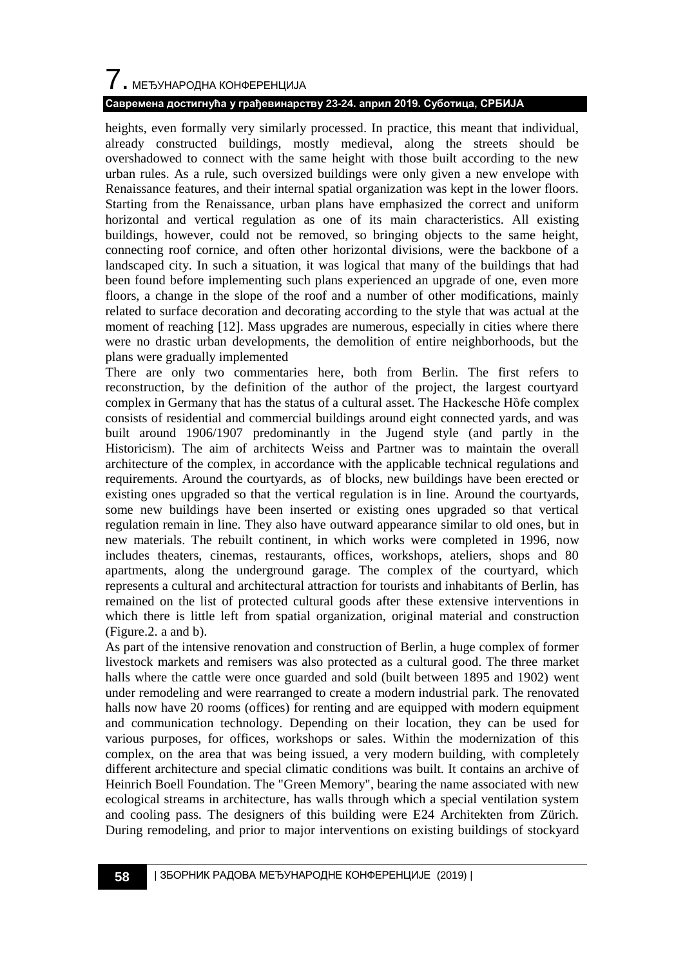# 7. МЕЂУНАРОДНА КОНФЕРЕНЦИЈА

### **Савремена достигнућа у грађевинарству 23-24. април 2019. Суботица, СРБИЈА**

heights, even formally very similarly processed. In practice, this meant that individual, already constructed buildings, mostly medieval, along the streets should be overshadowed to connect with the same height with those built according to the new urban rules. As a rule, such oversized buildings were only given a new envelope with Renaissance features, and their internal spatial organization was kept in the lower floors. Starting from the Renaissance, urban plans have emphasized the correct and uniform horizontal and vertical regulation as one of its main characteristics. All existing buildings, however, could not be removed, so bringing objects to the same height, connecting roof cornice, and often other horizontal divisions, were the backbone of a landscaped city. In such a situation, it was logical that many of the buildings that had been found before implementing such plans experienced an upgrade of one, even more floors, a change in the slope of the roof and a number of other modifications, mainly related to surface decoration and decorating according to the style that was actual at the moment of reaching [12]. Mass upgrades are numerous, especially in cities where there were no drastic urban developments, the demolition of entire neighborhoods, but the plans were gradually implemented

There are only two commentaries here, both from Berlin. The first refers to reconstruction, by the definition of the author of the project, the largest courtyard complex in Germany that has the status of a cultural asset. The Hackesche Hofe complex consists of residential and commercial buildings around eight connected yards, and was built around 1906/1907 predominantly in the Jugend style (and partly in the Historicism). The aim of architects Weiss and Partner was to maintain the overall architecture of the complex, in accordance with the applicable technical regulations and requirements. Around the courtyards, as of blocks, new buildings have been erected or existing ones upgraded so that the vertical regulation is in line. Around the courtyards, some new buildings have been inserted or existing ones upgraded so that vertical regulation remain in line. They also have outward appearance similar to old ones, but in new materials. The rebuilt continent, in which works were completed in 1996, now includes theaters, cinemas, restaurants, offices, workshops, ateliers, shops and 80 apartments, along the underground garage. The complex of the courtyard, which represents a cultural and architectural attraction for tourists and inhabitants of Berlin, has remained on the list of protected cultural goods after these extensive interventions in which there is little left from spatial organization, original material and construction (Figure.2. a and b).

As part of the intensive renovation and construction of Berlin, a huge complex of former livestock markets and remisers was also protected as a cultural good. The three market halls where the cattle were once guarded and sold (built between 1895 and 1902) went under remodeling and were rearranged to create a modern industrial park. The renovated halls now have 20 rooms (offices) for renting and are equipped with modern equipment and communication technology. Depending on their location, they can be used for various purposes, for offices, workshops or sales. Within the modernization of this complex, on the area that was being issued, a very modern building, with completely different architecture and special climatic conditions was built. It contains an archive of Heinrich Boell Foundation. The "Green Memory", bearing the name associated with new ecological streams in architecture, has walls through which a special ventilation system and cooling pass. The designers of this building were E24 Architekten from Zürich. During remodeling, and prior to major interventions on existing buildings of stockyard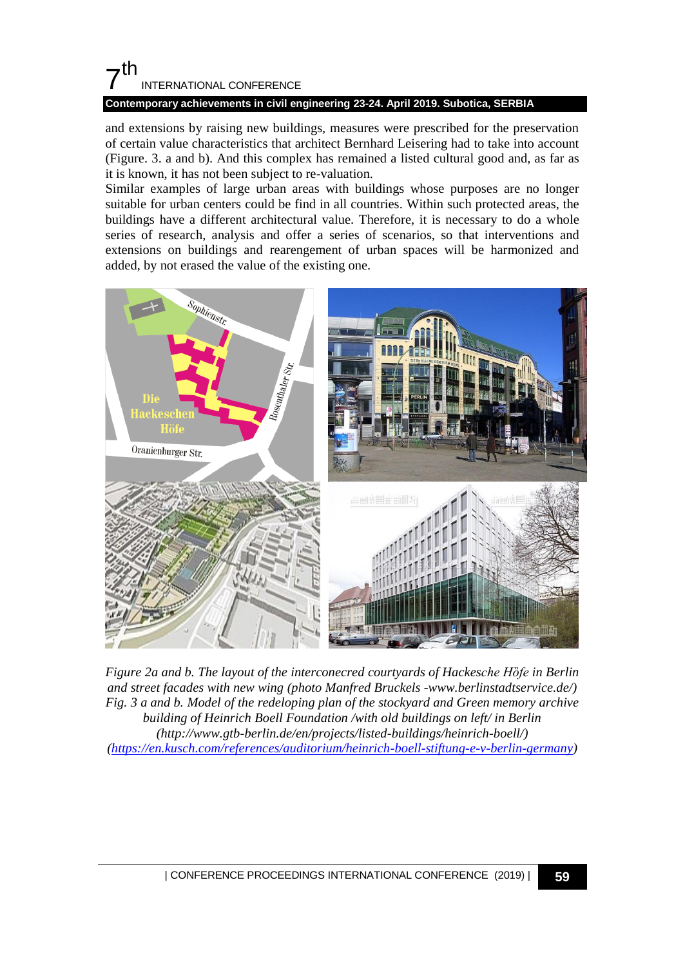# $7<sup>th</sup>$ INTERNATIONAL CONFERENCE

### **Contemporary achievements in civil engineering 23-24. April 2019. Subotica, SERBIA**

and extensions by raising new buildings, measures were prescribed for the preservation of certain value characteristics that architect Bernhard Leisering had to take into account (Figure. 3. a and b). And this complex has remained a listed cultural good and, as far as it is known, it has not been subject to re-valuation.

Similar examples of large urban areas with buildings whose purposes are no longer suitable for urban centers could be find in all countries. Within such protected areas, the buildings have a different architectural value. Therefore, it is necessary to do a whole series of research, analysis and offer a series of scenarios, so that interventions and extensions on buildings and rearengement of urban spaces will be harmonized and added, by not erased the value of the existing one.



*Figure 2a and b. The layout of the interconecred courtyards of Hackesche Hȍfe in Berlin and street facades with new wing (photo Manfred Bruckels -www.berlinstadtservice.de/) Fig. 3 a and b. Model of the redeloping plan of the stockyard and Green memory archive building of Heinrich Boell Foundation /with old buildings on left/ in Berlin (http://www.gtb-berlin.de/en/projects/listed-buildings/heinrich-boell/) [\(https://en.kusch.com/references/auditorium/heinrich-boell-stiftung-e-v-berlin-germany\)](https://en.kusch.com/references/auditorium/heinrich-boell-stiftung-e-v-berlin-germany)*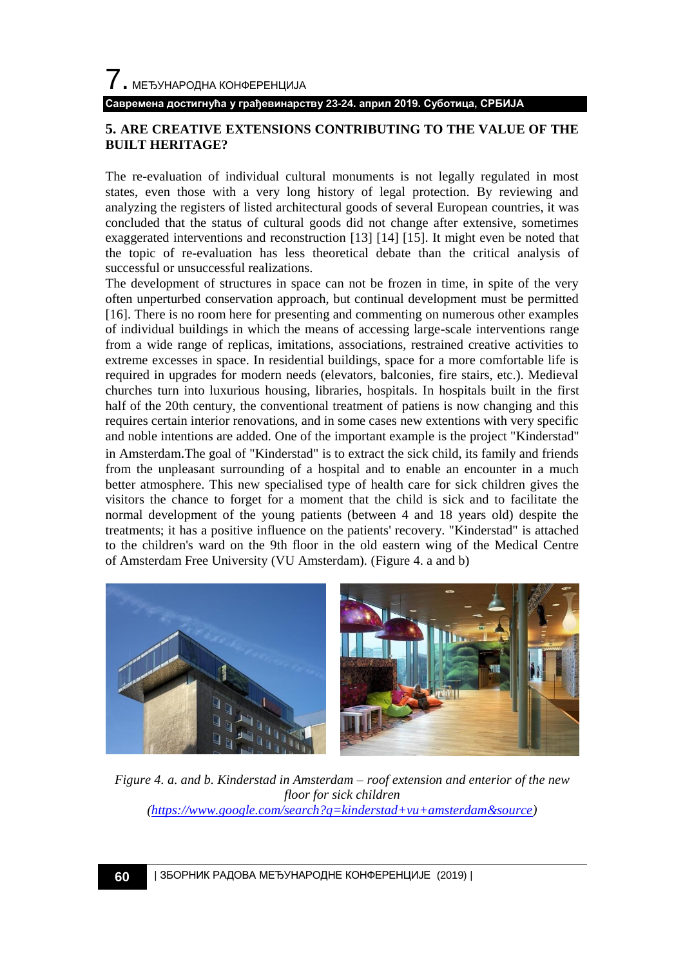#### **Савремена достигнућа у грађевинарству 23-24. април 2019. Суботица, СРБИЈА**

### **5. ARE CREATIVE EXTENSIONS CONTRIBUTING TO THE VALUE OF THE BUILT HERITAGE?**

The re-evaluation of individual cultural monuments is not legally regulated in most states, even those with a very long history of legal protection. By reviewing and analyzing the registers of listed architectural goods of several European countries, it was concluded that the status of cultural goods did not change after extensive, sometimes exaggerated interventions and reconstruction [13] [14] [15]. It might even be noted that the topic of re-evaluation has less theoretical debate than the critical analysis of successful or unsuccessful realizations.

The development of structures in space can not be frozen in time, in spite of the very often unperturbed conservation approach, but continual development must be permitted [16]. There is no room here for presenting and commenting on numerous other examples of individual buildings in which the means of accessing large-scale interventions range from a wide range of replicas, imitations, associations, restrained creative activities to extreme excesses in space. In residential buildings, space for a more comfortable life is required in upgrades for modern needs (elevators, balconies, fire stairs, etc.). Medieval churches turn into luxurious housing, libraries, hospitals. In hospitals built in the first half of the 20th century, the conventional treatment of patiens is now changing and this requires certain interior renovations, and in some cases new extentions with very specific and noble intentions are added. One of the important example is the project "Kinderstad" in Amsterdam.The goal of "Kinderstad" is to extract the sick child, its family and friends from the unpleasant surrounding of a hospital and to enable an encounter in a much better atmosphere. This new specialised type of health care for sick children gives the visitors the chance to forget for a moment that the child is sick and to facilitate the normal development of the young patients (between 4 and 18 years old) despite the treatments; it has a positive influence on the patients' recovery. "Kinderstad" is attached to the children's ward on the 9th floor in the old eastern wing of the Medical Centre of Amsterdam Free University (VU Amsterdam). (Figure 4. a and b)



*Figure 4. a. and b. Kinderstad in Amsterdam – roof extension and enterior of the new floor for sick children [\(https://www.google.com/search?q=kinderstad+vu+amsterdam&source\)](https://www.google.com/search?q=kinderstad+vu+amsterdam&source)*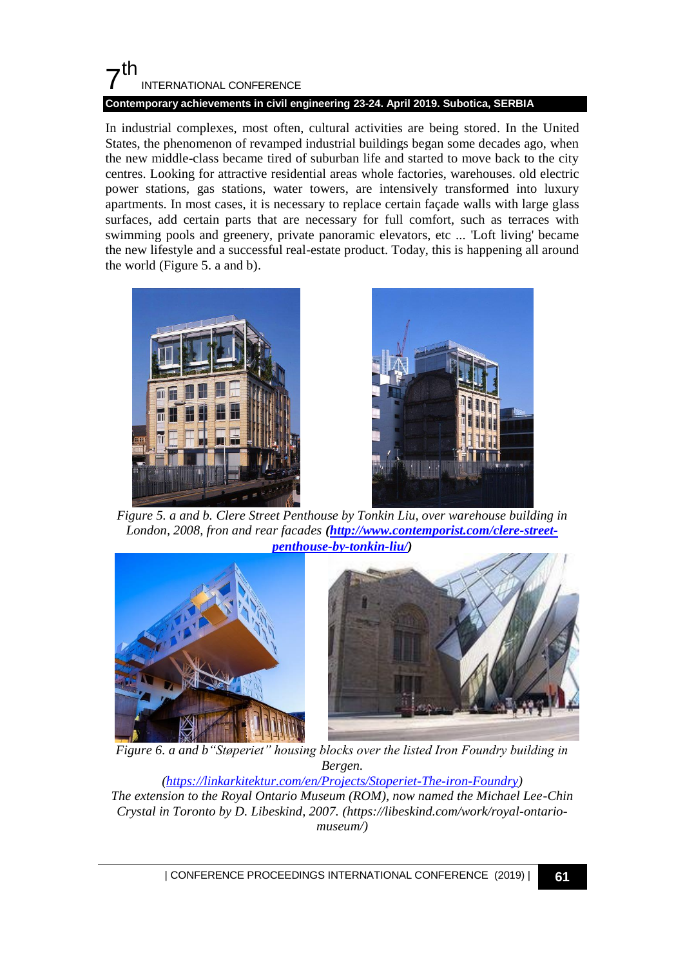## $7<sup>th</sup>$ INTERNATIONAL CONFERENCE **Contemporary achievements in civil engineering 23-24. April 2019. Subotica, SERBIA**

In industrial complexes, most often, cultural activities are being stored. In the United States, the phenomenon of revamped industrial buildings began some decades ago, when the new middle-class became tired of suburban life and started to move back to the city centres. Looking for attractive residential areas whole factories, warehouses. old electric power stations, gas stations, water towers, are intensively transformed into luxury apartments. In most cases, it is necessary to replace certain façade walls with large glass surfaces, add certain parts that are necessary for full comfort, such as terraces with swimming pools and greenery, private panoramic elevators, etc ... 'Loft living' became the new lifestyle and a successful real-estate product. Today, this is happening all around the world (Figure 5. a and b).





*Figure 5. a and b. Clere Street Penthouse by Tonkin Liu, over warehouse building in London, 2008, fron and rear facades [\(http://www.contemporist.com/clere-street](http://www.contemporist.com/clere-street-penthouse-by-tonkin-liu/)[penthouse-by-tonkin-liu/\)](http://www.contemporist.com/clere-street-penthouse-by-tonkin-liu/)*



*Figure 6. a and b"Støperiet" housing blocks over the listed Iron Foundry building in Bergen.*

*[\(https://linkarkitektur.com/en/Projects/Stoperiet-The-iron-Foundry\)](https://linkarkitektur.com/en/Projects/Stoperiet-The-iron-Foundry) The extension to the Royal Ontario Museum (ROM), now named the Michael Lee-Chin Crystal in Toronto by D. Libeskind, 2007. (https://libeskind.com/work/royal-ontariomuseum/)*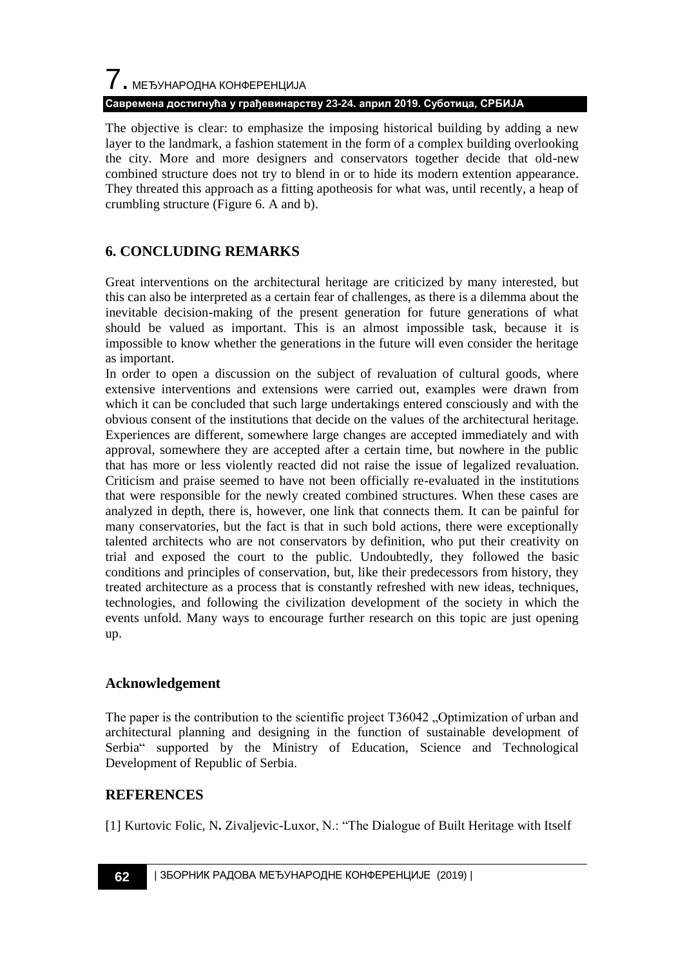# $\overline{I}$ . МЕЂУНАРОДНА КОНФЕРЕНЦИЈА **Савремена достигнућа у грађевинарству 23-24. април 2019. Суботица, СРБИЈА**

The objective is clear: to emphasize the imposing historical building by adding a new layer to the landmark, a fashion statement in the form of a complex building overlooking the city. More and more designers and conservators together decide that old-new combined structure does not try to blend in or to hide its modern extention appearance. They threated this approach as a fitting apotheosis for what was, until recently, a heap of crumbling structure (Figure 6. A and b).

# **6. CONCLUDING REMARKS**

Great interventions on the architectural heritage are criticized by many interested, but this can also be interpreted as a certain fear of challenges, as there is a dilemma about the inevitable decision-making of the present generation for future generations of what should be valued as important. This is an almost impossible task, because it is impossible to know whether the generations in the future will even consider the heritage as important.

In order to open a discussion on the subject of revaluation of cultural goods, where extensive interventions and extensions were carried out, examples were drawn from which it can be concluded that such large undertakings entered consciously and with the obvious consent of the institutions that decide on the values of the architectural heritage. Experiences are different, somewhere large changes are accepted immediately and with approval, somewhere they are accepted after a certain time, but nowhere in the public that has more or less violently reacted did not raise the issue of legalized revaluation. Criticism and praise seemed to have not been officially re-evaluated in the institutions that were responsible for the newly created combined structures. When these cases are analyzed in depth, there is, however, one link that connects them. It can be painful for many conservatories, but the fact is that in such bold actions, there were exceptionally talented architects who are not conservators by definition, who put their creativity on trial and exposed the court to the public. Undoubtedly, they followed the basic conditions and principles of conservation, but, like their predecessors from history, they treated architecture as a process that is constantly refreshed with new ideas, techniques, technologies, and following the civilization development of the society in which the events unfold. Many ways to encourage further research on this topic are just opening up.

## **Acknowledgement**

The paper is the contribution to the scientific project T36042 . Optimization of urban and architectural planning and designing in the function of sustainable development of Serbia" supported by the Ministry of Education, Science and Technological Development of Republic of Serbia.

## **REFERENCES**

[1] Kurtovic Folic, N**.** Zivaljevic-Luxor, N.: "The Dialogue of Built Heritage with Itself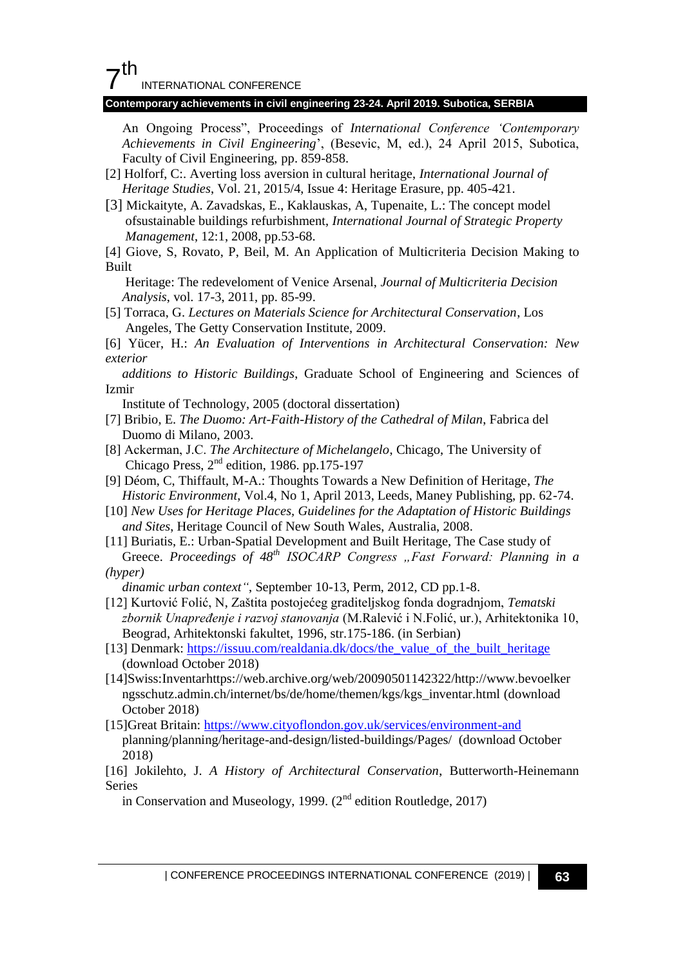# 7 th

INTERNATIONAL CONFERENCE

#### **Contemporary achievements in civil engineering 23-24. April 2019. Subotica, SERBIA**

An Ongoing Process", Proceedings of *International Conference "Contemporary Achievements in Civil Engineering*", (Besevic, M, ed.), 24 April 2015, Subotica, Faculty of Civil Engineering, pp. 859-858.

- [2] Holforf, C:. Averting loss aversion in cultural heritage, *International Journal of Heritage Studies*, Vol. 21, 2015/4, Issue 4: Heritage Erasure, pp. 405-421.
- [3] Mickaityte, A. Zavadskas, E., Kaklauskas, A, Tupenaite, L.: The concept model ofsustainable buildings refurbishment, *International Journal of Strategic Property Management*, 12:1, 2008, pp.53-68.

[4] Giove, S, Rovato, P, Beil, M. An Application of Multicriteria Decision Making to Built

 Heritage: The redeveloment of Venice Arsenal, *Journal of Multicriteria Decision Analysis*, vol. 17-3, 2011, pp. 85-99.

[5] Torraca, G. *Lectures on Materials Science for Architectural Conservation*, Los Angeles, The Getty Conservation Institute, 2009.

[6] Yücer, H.: *An Evaluation of Interventions in Architectural Conservation: New exterior*

 *additions to Historic Buildings*, Graduate School of Engineering and Sciences of Izmir

Institute of Technology, 2005 (doctoral dissertation)

- [7] Bribio, E. *The Duomo: Art-Faith-History of the Cathedral of Milan*, Fabrica del Duomo di Milano, 2003.
- [8] Ackerman, Ј.С. *The Architecture of Michelangelo*, Chicago, The University of Chicago Press,  $2<sup>nd</sup>$  edition, 1986. pp.175-197
- [9] Déom, C, Thiffault, M-A.: Thoughts Towards a New Definition of Heritage, *The Historic Environment*, Vol.4, No 1, April 2013, Leeds, Maney Publishing, pp. 62-74.
- [10] *New Uses for Heritage Places, Guidelines for the Adaptation of Historic Buildings and Sites*, Heritage Council of New South Wales, Australia, 2008.
- [11] Buriatis, E.: Urban-Spatial Development and Built Heritage, The Case study of Greece. Proceedings of 48<sup>th</sup> ISOCARP Congress "Fast Forward: Planning in a *(hyper)*

 *dinamic urban context"*, September 10-13, Perm, 2012, CD pp.1-8.

- [12] Kurtović Folić, N, Zaštita postojećeg graditeljskog fonda dogradnjom, *Tematski zbornik Unapređenje i razvoj stanovanja* (M.Ralević i N.Folić, ur.), Arhitektonika 10, Beograd, Arhitektonski fakultet, 1996, str.175-186. (in Serbian)
- [13] Denmark: [https://issuu.com/realdania.dk/docs/the\\_value\\_of\\_the\\_built\\_heritage](https://issuu.com/realdania.dk/docs/the_value_of_the_built_heritage) (download October 2018)
- [14]Swiss:Inventarhttps://web.archive.org/web/20090501142322/http://www.bevoelker ngsschutz.admin.ch/internet/bs/de/home/themen/kgs/kgs\_inventar.html (download October 2018)
- [15]Great Britain:<https://www.cityoflondon.gov.uk/services/environment-and> planning/planning/heritage-and-design/listed-buildings/Pages/ (download October 2018)

[16] Jokilehto, J. *A History of Architectural Conservation*, Butterworth-Heinemann Series

in Conservation and Museology, 1999.  $(2<sup>nd</sup>$  edition Routledge, 2017)